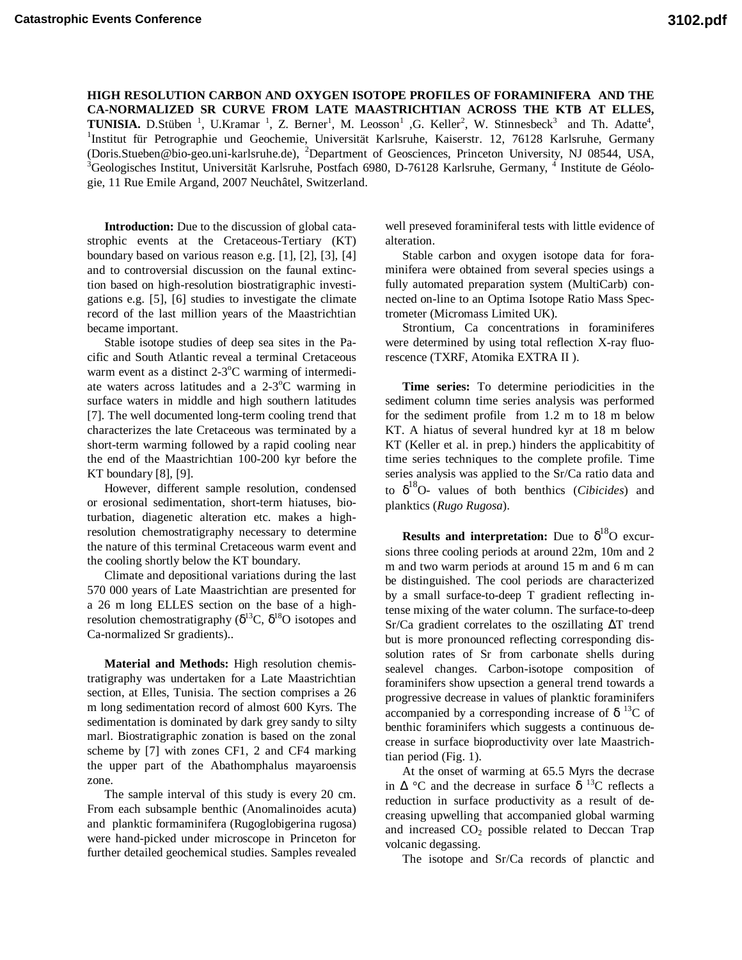**HIGH RESOLUTION CARBON AND OXYGEN ISOTOPE PROFILES OF FORAMINIFERA AND THE CA-NORMALIZED SR CURVE FROM LATE MAASTRICHTIAN ACROSS THE KTB AT ELLES, TUNISIA.** D.Stüben<sup>1</sup>, U.Kramar<sup>1</sup>, Z. Berner<sup>1</sup>, M. Leosson<sup>1</sup>, G. Keller<sup>2</sup>, W. Stinnesbeck<sup>3</sup> and Th. Adatte<sup>4</sup>, <sup>1</sup>Institut für Petrographie und Geochemie, Universität Karlsruhe, Kaiserstr. 12, 76128 Karlsruhe, Germany (Doris.Stueben@bio-geo.uni-karlsruhe.de), <sup>2</sup>Department of Geosciences, Princeton University, NJ 08544, USA, <sup>3</sup>Geologisches Institut, Universität Karlsruhe, Postfach 6980, D-76128 Karlsruhe, Germany, <sup>4</sup> Institute de Géologie, 11 Rue Emile Argand, 2007 Neuchâtel, Switzerland.

**Introduction:** Due to the discussion of global catastrophic events at the Cretaceous-Tertiary (KT) boundary based on various reason e.g. [1], [2], [3], [4] and to controversial discussion on the faunal extinction based on high-resolution biostratigraphic investigations e.g. [5], [6] studies to investigate the climate record of the last million years of the Maastrichtian became important.

Stable isotope studies of deep sea sites in the Pacific and South Atlantic reveal a terminal Cretaceous warm event as a distinct 2-3°C warming of intermediate waters across latitudes and a 2-3°C warming in surface waters in middle and high southern latitudes [7]. The well documented long-term cooling trend that characterizes the late Cretaceous was terminated by a short-term warming followed by a rapid cooling near the end of the Maastrichtian 100-200 kyr before the KT boundary [8], [9].

However, different sample resolution, condensed or erosional sedimentation, short-term hiatuses, bioturbation, diagenetic alteration etc. makes a highresolution chemostratigraphy necessary to determine the nature of this terminal Cretaceous warm event and the cooling shortly below the KT boundary.

Climate and depositional variations during the last 570 000 years of Late Maastrichtian are presented for a 26 m long ELLES section on the base of a highresolution chemostratigraphy ( $\delta^{13}C$ ,  $\delta^{18}O$  isotopes and Ca-normalized Sr gradients)..

**Material and Methods:** High resolution chemistratigraphy was undertaken for a Late Maastrichtian section, at Elles, Tunisia. The section comprises a 26 m long sedimentation record of almost 600 Kyrs. The sedimentation is dominated by dark grey sandy to silty marl. Biostratigraphic zonation is based on the zonal scheme by [7] with zones CF1, 2 and CF4 marking the upper part of the Abathomphalus mayaroensis zone.

The sample interval of this study is every 20 cm. From each subsample benthic (Anomalinoides acuta) and planktic formaminifera (Rugoglobigerina rugosa) were hand-picked under microscope in Princeton for further detailed geochemical studies. Samples revealed well preseved foraminiferal tests with little evidence of alteration.

Stable carbon and oxygen isotope data for foraminifera were obtained from several species usings a fully automated preparation system (MultiCarb) connected on-line to an Optima Isotope Ratio Mass Spectrometer (Micromass Limited UK).

Strontium, Ca concentrations in foraminiferes were determined by using total reflection X-ray fluorescence (TXRF, Atomika EXTRA II ).

**Time series:** To determine periodicities in the sediment column time series analysis was performed for the sediment profile from 1.2 m to 18 m below KT. A hiatus of several hundred kyr at 18 m below KT (Keller et al. in prep.) hinders the applicabitity of time series techniques to the complete profile. Time series analysis was applied to the Sr/Ca ratio data and to δ 18O- values of both benthics (*Cibicides*) and planktics (*Rugo Rugosa*).

**Results and interpretation:** Due to  $\delta^{18}$ O excursions three cooling periods at around 22m, 10m and 2 m and two warm periods at around 15 m and 6 m can be distinguished. The cool periods are characterized by a small surface-to-deep T gradient reflecting intense mixing of the water column. The surface-to-deep Sr/Ca gradient correlates to the oszillating ∆T trend but is more pronounced reflecting corresponding dissolution rates of Sr from carbonate shells during sealevel changes. Carbon-isotope composition of foraminifers show upsection a general trend towards a progressive decrease in values of planktic foraminifers accompanied by a corresponding increase of  $\delta^{13}C$  of benthic foraminifers which suggests a continuous decrease in surface bioproductivity over late Maastrichtian period (Fig. 1).

At the onset of warming at 65.5 Myrs the decrase in  $\Delta$  °C and the decrease in surface  $\delta$  <sup>13</sup>C reflects a reduction in surface productivity as a result of decreasing upwelling that accompanied global warming and increased  $CO<sub>2</sub>$  possible related to Deccan Trap volcanic degassing.

The isotope and Sr/Ca records of planctic and